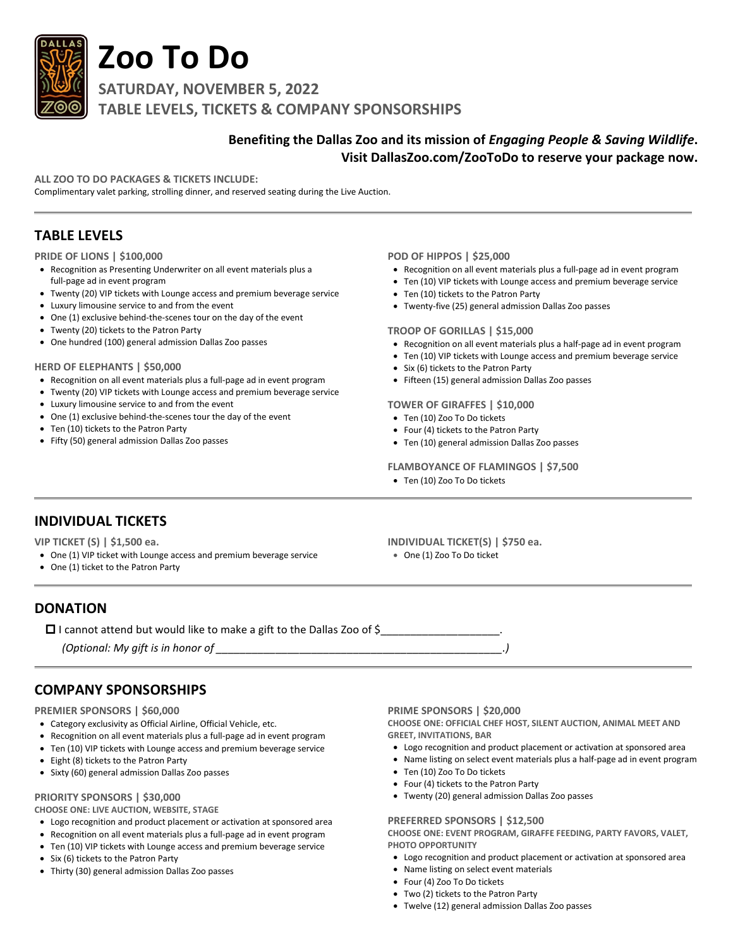

# **Zoo To Do**

**SATURDAY, NOVEMBER 5, 2022 TABLE LEVELS, TICKETS & COMPANY SPONSORSHIPS**

# **Benefiting the Dallas Zoo and its mission of** *Engaging People & Saving Wildlife***. Visit DallasZoo.com/ZooToDo to reserve your package now.**

**ALL ZOO TO DO PACKAGES & TICKETS INCLUDE:**

Complimentary valet parking, strolling dinner, and reserved seating during the Live Auction.

# **TABLE LEVELS**

## **PRIDE OF LIONS | \$100,000**

- Recognition as Presenting Underwriter on all event materials plus a full-page ad in event program
- Twenty (20) VIP tickets with Lounge access and premium beverage service
- Luxury limousine service to and from the event
- One (1) exclusive behind-the-scenes tour on the day of the event
- Twenty (20) tickets to the Patron Party
- One hundred (100) general admission Dallas Zoo passes

## **HERD OF ELEPHANTS | \$50,000**

- Recognition on all event materials plus a full-page ad in event program
- Twenty (20) VIP tickets with Lounge access and premium beverage service
- Luxury limousine service to and from the event
- One (1) exclusive behind-the-scenes tour the day of the event
- Ten (10) tickets to the Patron Party
- Fifty (50) general admission Dallas Zoo passes

## **POD OF HIPPOS | \$25,000**

- Recognition on all event materials plus a full-page ad in event program
- Ten (10) VIP tickets with Lounge access and premium beverage service
- Ten (10) tickets to the Patron Party
- Twenty-five (25) general admission Dallas Zoo passes

## **TROOP OF GORILLAS | \$15,000**

- Recognition on all event materials plus a half-page ad in event program
- Ten (10) VIP tickets with Lounge access and premium beverage service
- Six (6) tickets to the Patron Party
- Fifteen (15) general admission Dallas Zoo passes

## **TOWER OF GIRAFFES | \$10,000**

- Ten (10) Zoo To Do tickets
- Four (4) tickets to the Patron Party
- Ten (10) general admission Dallas Zoo passes

# **FLAMBOYANCE OF FLAMINGOS | \$7,500**

• Ten (10) Zoo To Do tickets

# **INDIVIDUAL TICKETS**

**VIP TICKET (S) | \$1,500 ea.**

- One (1) VIP ticket with Lounge access and premium beverage service
- One (1) ticket to the Patron Party

**INDIVIDUAL TICKET(S) | \$750 ea.** • One (1) Zoo To Do ticket

**DONATION**

I cannot attend but would like to make a gift to the Dallas Zoo of \$\_\_\_\_\_\_\_\_\_\_\_\_\_\_\_\_\_\_\_\_.

*(Optional: My gift is in honor of \_\_\_\_\_\_\_\_\_\_\_\_\_\_\_\_\_\_\_\_\_\_\_\_\_\_\_\_\_\_\_\_\_\_\_\_\_\_\_\_\_\_\_\_\_\_\_\_.)*

# **COMPANY SPONSORSHIPS**

## **PREMIER SPONSORS | \$60,000**

- Category exclusivity as Official Airline, Official Vehicle, etc.
- Recognition on all event materials plus a full-page ad in event program
- Ten (10) VIP tickets with Lounge access and premium beverage service
- Eight (8) tickets to the Patron Party
- Sixty (60) general admission Dallas Zoo passes

# **PRIORITY SPONSORS | \$30,000**

**CHOOSE ONE: LIVE AUCTION, WEBSITE, STAGE**

- Logo recognition and product placement or activation at sponsored area
- Recognition on all event materials plus a full-page ad in event program
- Ten (10) VIP tickets with Lounge access and premium beverage service
- Six (6) tickets to the Patron Party
- Thirty (30) general admission Dallas Zoo passes

**PRIME SPONSORS | \$20,000**

**CHOOSE ONE: OFFICIAL CHEF HOST, SILENT AUCTION, ANIMAL MEET AND GREET, INVITATIONS, BAR**

- Logo recognition and product placement or activation at sponsored area
- Name listing on select event materials plus a half-page ad in event program
- Ten (10) Zoo To Do tickets
- Four (4) tickets to the Patron Party
- Twenty (20) general admission Dallas Zoo passes

## **PREFERRED SPONSORS | \$12,500**

**CHOOSE ONE: EVENT PROGRAM, GIRAFFE FEEDING, PARTY FAVORS, VALET, PHOTO OPPORTUNITY**

- Logo recognition and product placement or activation at sponsored area
- Name listing on select event materials
- Four (4) Zoo To Do tickets
- Two (2) tickets to the Patron Party
- Twelve (12) general admission Dallas Zoo passes